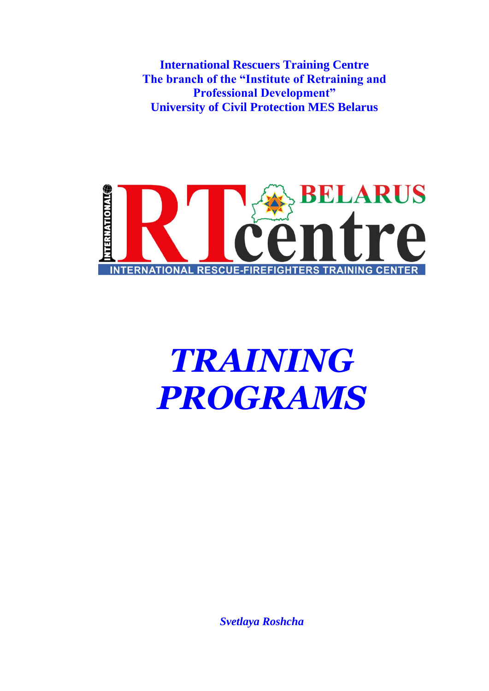**International Rescuers Training Centre The branch of the "Institute of Retraining and Professional Development" University of Civil Protection MES Belarus**



# *TRAINING PROGRAMS*

*Svetlaya Roshcha*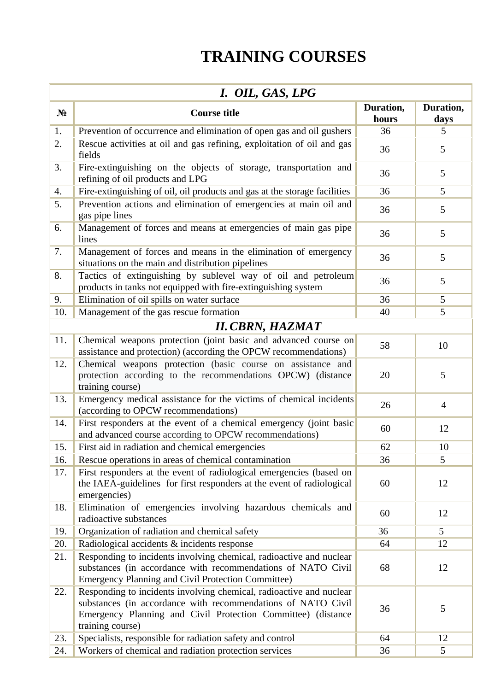# **TRAINING COURSES**

| I. OIL, GAS, LPG |                                                                                                                                                                                                                         |                    |                   |  |  |  |
|------------------|-------------------------------------------------------------------------------------------------------------------------------------------------------------------------------------------------------------------------|--------------------|-------------------|--|--|--|
| $N_2$            | <b>Course title</b>                                                                                                                                                                                                     | Duration,<br>hours | Duration,<br>days |  |  |  |
| 1.               | Prevention of occurrence and elimination of open gas and oil gushers                                                                                                                                                    | 36                 | 5                 |  |  |  |
| 2.               | Rescue activities at oil and gas refining, exploitation of oil and gas<br>fields                                                                                                                                        | 36                 | 5                 |  |  |  |
| 3.               | Fire-extinguishing on the objects of storage, transportation and<br>refining of oil products and LPG                                                                                                                    | 36                 | 5                 |  |  |  |
| 4.               | Fire-extinguishing of oil, oil products and gas at the storage facilities                                                                                                                                               | 36                 | 5                 |  |  |  |
| 5.               | Prevention actions and elimination of emergencies at main oil and<br>gas pipe lines                                                                                                                                     | 36                 | 5                 |  |  |  |
| 6.               | Management of forces and means at emergencies of main gas pipe<br>lines                                                                                                                                                 | 36                 | 5                 |  |  |  |
| 7.               | Management of forces and means in the elimination of emergency<br>situations on the main and distribution pipelines                                                                                                     | 36                 | 5                 |  |  |  |
| 8.               | Tactics of extinguishing by sublevel way of oil and petroleum<br>products in tanks not equipped with fire-extinguishing system                                                                                          | 36                 | 5                 |  |  |  |
| 9.               | Elimination of oil spills on water surface                                                                                                                                                                              | 36                 | 5                 |  |  |  |
| 10.              | Management of the gas rescue formation                                                                                                                                                                                  | 40                 | 5                 |  |  |  |
|                  | <b>II. CBRN, HAZMAT</b>                                                                                                                                                                                                 |                    |                   |  |  |  |
| 11.              | Chemical weapons protection (joint basic and advanced course on<br>assistance and protection) (according the OPCW recommendations)                                                                                      | 58                 | 10                |  |  |  |
| 12.              | Chemical weapons protection (basic course on assistance and<br>protection according to the recommendations OPCW) (distance<br>training course)                                                                          | 20                 | 5                 |  |  |  |
| 13.              | Emergency medical assistance for the victims of chemical incidents<br>(according to OPCW recommendations)                                                                                                               | 26                 | $\overline{4}$    |  |  |  |
| 14.              | First responders at the event of a chemical emergency (joint basic<br>and advanced course according to OPCW recommendations)                                                                                            | 60                 | 12                |  |  |  |
| 15.              | First aid in radiation and chemical emergencies                                                                                                                                                                         | 62                 | 10                |  |  |  |
| 16.              | Rescue operations in areas of chemical contamination                                                                                                                                                                    | 36                 | 5                 |  |  |  |
| 17.              | First responders at the event of radiological emergencies (based on<br>the IAEA-guidelines for first responders at the event of radiological<br>emergencies)                                                            | 60                 | 12                |  |  |  |
| 18.              | Elimination of emergencies involving hazardous chemicals and<br>radioactive substances                                                                                                                                  | 60                 | 12                |  |  |  |
| 19.              | Organization of radiation and chemical safety                                                                                                                                                                           | 36                 | $5\overline{)}$   |  |  |  |
| 20.              | Radiological accidents & incidents response                                                                                                                                                                             | 64                 | 12                |  |  |  |
| 21.              | Responding to incidents involving chemical, radioactive and nuclear<br>substances (in accordance with recommendations of NATO Civil<br><b>Emergency Planning and Civil Protection Committee)</b>                        | 68                 | 12                |  |  |  |
| 22.              | Responding to incidents involving chemical, radioactive and nuclear<br>substances (in accordance with recommendations of NATO Civil<br>Emergency Planning and Civil Protection Committee) (distance<br>training course) | 36                 | 5                 |  |  |  |
| 23.              | Specialists, responsible for radiation safety and control                                                                                                                                                               | 64                 | 12                |  |  |  |
| 24.              | Workers of chemical and radiation protection services                                                                                                                                                                   | 36                 | 5                 |  |  |  |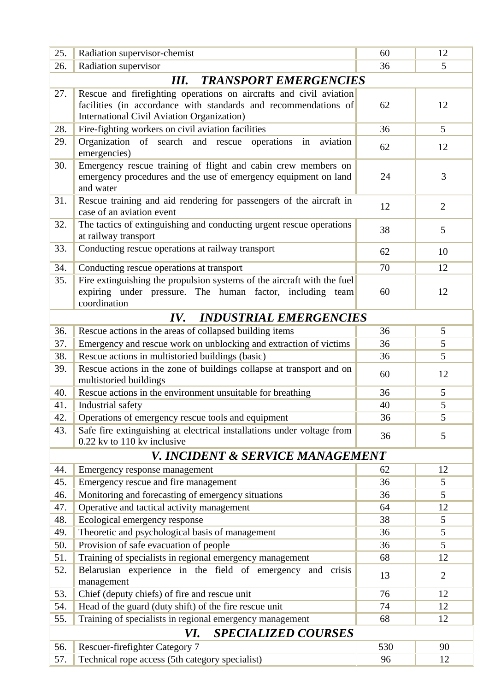| 25.                                | Radiation supervisor-chemist                                                                                                                         | 60  | 12              |  |  |
|------------------------------------|------------------------------------------------------------------------------------------------------------------------------------------------------|-----|-----------------|--|--|
| 26.                                | Radiation supervisor                                                                                                                                 | 36  | 5               |  |  |
| <b>TRANSPORT EMERGENCIES</b><br>Ш. |                                                                                                                                                      |     |                 |  |  |
| 27.                                | Rescue and firefighting operations on aircrafts and civil aviation                                                                                   |     |                 |  |  |
|                                    | facilities (in accordance with standards and recommendations of                                                                                      | 62  | 12              |  |  |
|                                    | <b>International Civil Aviation Organization</b> )                                                                                                   |     |                 |  |  |
| 28.                                | Fire-fighting workers on civil aviation facilities                                                                                                   | 36  | $5\overline{)}$ |  |  |
| 29.                                | Organization of search and rescue operations in<br>aviation<br>emergencies)                                                                          | 62  | 12              |  |  |
| 30.                                | Emergency rescue training of flight and cabin crew members on<br>emergency procedures and the use of emergency equipment on land<br>and water        | 24  | 3               |  |  |
| 31.                                | Rescue training and aid rendering for passengers of the aircraft in<br>case of an aviation event                                                     | 12  | $\overline{2}$  |  |  |
| 32.                                | The tactics of extinguishing and conducting urgent rescue operations<br>at railway transport                                                         | 38  | 5               |  |  |
| 33.                                | Conducting rescue operations at railway transport                                                                                                    | 62  | 10              |  |  |
| 34.                                | Conducting rescue operations at transport                                                                                                            | 70  | 12              |  |  |
| 35.                                | Fire extinguishing the propulsion systems of the aircraft with the fuel<br>expiring under pressure. The human factor, including team<br>coordination | 60  | 12              |  |  |
|                                    | <b>INDUSTRIAL EMERGENCIES</b><br>IV.                                                                                                                 |     |                 |  |  |
| 36.                                | Rescue actions in the areas of collapsed building items                                                                                              | 36  | 5               |  |  |
| 37.                                | Emergency and rescue work on unblocking and extraction of victims                                                                                    | 36  | 5               |  |  |
| 38.                                | Rescue actions in multistoried buildings (basic)                                                                                                     | 36  | $\overline{5}$  |  |  |
| 39.                                | Rescue actions in the zone of buildings collapse at transport and on<br>multistoried buildings                                                       | 60  | 12              |  |  |
| 40.                                | Rescue actions in the environment unsuitable for breathing                                                                                           | 36  | 5               |  |  |
| 41.                                | Industrial safety                                                                                                                                    | 40  | 5               |  |  |
| 42.                                | Operations of emergency rescue tools and equipment                                                                                                   | 36  | 5               |  |  |
| 43.                                | Safe fire extinguishing at electrical installations under voltage from<br>0.22 kv to 110 kv inclusive                                                | 36  | 5               |  |  |
|                                    | V. INCIDENT & SERVICE MANAGEMENT                                                                                                                     |     |                 |  |  |
| 44.                                | Emergency response management                                                                                                                        | 62  | 12              |  |  |
| 45.                                | Emergency rescue and fire management                                                                                                                 | 36  | 5               |  |  |
| 46.                                | Monitoring and forecasting of emergency situations                                                                                                   | 36  | 5               |  |  |
| 47.                                | Operative and tactical activity management                                                                                                           | 64  | 12              |  |  |
| 48.                                | Ecological emergency response                                                                                                                        | 38  | 5               |  |  |
| 49.                                | Theoretic and psychological basis of management                                                                                                      | 36  | 5               |  |  |
| 50.                                | Provision of safe evacuation of people                                                                                                               | 36  | 5               |  |  |
| 51.                                | Training of specialists in regional emergency management                                                                                             | 68  | 12              |  |  |
| 52.                                | Belarusian experience in the field of emergency and crisis<br>management                                                                             | 13  | 2               |  |  |
| 53.                                | Chief (deputy chiefs) of fire and rescue unit                                                                                                        | 76  | 12              |  |  |
| 54.                                | Head of the guard (duty shift) of the fire rescue unit                                                                                               | 74  | 12              |  |  |
| 55.                                | Training of specialists in regional emergency management                                                                                             | 68  | 12              |  |  |
| <b>SPECIALIZED COURSES</b><br>VI.  |                                                                                                                                                      |     |                 |  |  |
| 56.                                | <b>Rescuer-firefighter Category 7</b>                                                                                                                | 530 | 90              |  |  |
| 57.                                | Technical rope access (5th category specialist)                                                                                                      | 96  | 12              |  |  |